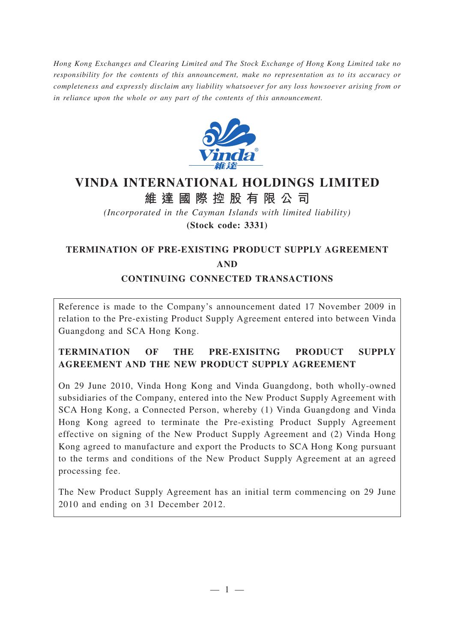*Hong Kong Exchanges and Clearing Limited and The Stock Exchange of Hong Kong Limited take no responsibility for the contents of this announcement, make no representation as to its accuracy or completeness and expressly disclaim any liability whatsoever for any loss howsoever arising from or in reliance upon the whole or any part of the contents of this announcement.*



## **VINDA INTERNATIONAL HOLDINGS LIMITED 維達國際控股有限公司**

*(Incorporated in the Cayman Islands with limited liability)* **(Stock code: 3331)**

# **TERMINATION OF PRE-EXISTING PRODUCT SUPPLY AGREEMENT AND**

#### **CONTINUING CONNECTED TRANSACTIONS**

Reference is made to the Company's announcement dated 17 November 2009 in relation to the Pre-existing Product Supply Agreement entered into between Vinda Guangdong and SCA Hong Kong.

## **TERMINATION OF THE PRE-EXISITNG PRODUCT SUPPLY AGREEMENT AND THE NEW PRODUCT SUPPLY AGREEMENT**

On 29 June 2010, Vinda Hong Kong and Vinda Guangdong, both wholly-owned subsidiaries of the Company, entered into the New Product Supply Agreement with SCA Hong Kong, a Connected Person, whereby (1) Vinda Guangdong and Vinda Hong Kong agreed to terminate the Pre-existing Product Supply Agreement effective on signing of the New Product Supply Agreement and (2) Vinda Hong Kong agreed to manufacture and export the Products to SCA Hong Kong pursuant to the terms and conditions of the New Product Supply Agreement at an agreed processing fee.

The New Product Supply Agreement has an initial term commencing on 29 June 2010 and ending on 31 December 2012.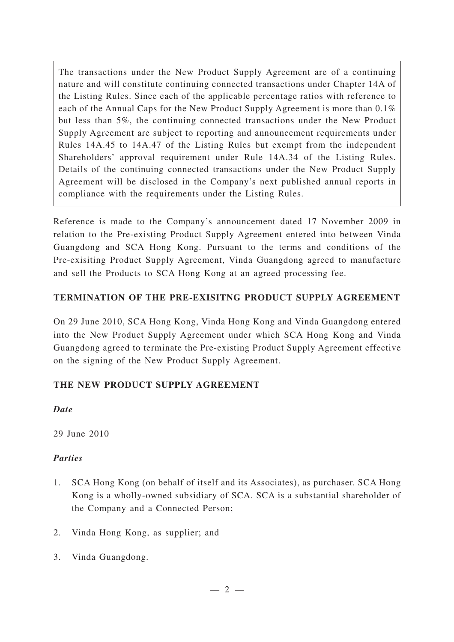The transactions under the New Product Supply Agreement are of a continuing nature and will constitute continuing connected transactions under Chapter 14A of the Listing Rules. Since each of the applicable percentage ratios with reference to each of the Annual Caps for the New Product Supply Agreement is more than 0.1% but less than 5%, the continuing connected transactions under the New Product Supply Agreement are subject to reporting and announcement requirements under Rules 14A.45 to 14A.47 of the Listing Rules but exempt from the independent Shareholders' approval requirement under Rule 14A.34 of the Listing Rules. Details of the continuing connected transactions under the New Product Supply Agreement will be disclosed in the Company's next published annual reports in compliance with the requirements under the Listing Rules.

Reference is made to the Company's announcement dated 17 November 2009 in relation to the Pre-existing Product Supply Agreement entered into between Vinda Guangdong and SCA Hong Kong. Pursuant to the terms and conditions of the Pre-exisiting Product Supply Agreement, Vinda Guangdong agreed to manufacture and sell the Products to SCA Hong Kong at an agreed processing fee.

## **TERMINATION OF THE PRE-EXISITNG PRODUCT SUPPLY AGREEMENT**

On 29 June 2010, SCA Hong Kong, Vinda Hong Kong and Vinda Guangdong entered into the New Product Supply Agreement under which SCA Hong Kong and Vinda Guangdong agreed to terminate the Pre-existing Product Supply Agreement effective on the signing of the New Product Supply Agreement.

#### **THE NEW PRODUCT SUPPLY AGREEMENT**

#### *Date*

29 June 2010

#### *Parties*

- 1. SCA Hong Kong (on behalf of itself and its Associates), as purchaser. SCA Hong Kong is a wholly-owned subsidiary of SCA. SCA is a substantial shareholder of the Company and a Connected Person;
- 2. Vinda Hong Kong, as supplier; and
- 3. Vinda Guangdong.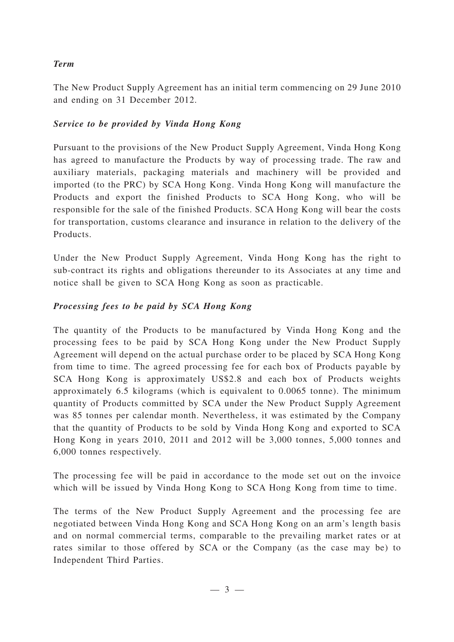#### *Term*

The New Product Supply Agreement has an initial term commencing on 29 June 2010 and ending on 31 December 2012.

#### *Service to be provided by Vinda Hong Kong*

Pursuant to the provisions of the New Product Supply Agreement, Vinda Hong Kong has agreed to manufacture the Products by way of processing trade. The raw and auxiliary materials, packaging materials and machinery will be provided and imported (to the PRC) by SCA Hong Kong. Vinda Hong Kong will manufacture the Products and export the finished Products to SCA Hong Kong, who will be responsible for the sale of the finished Products. SCA Hong Kong will bear the costs for transportation, customs clearance and insurance in relation to the delivery of the Products.

Under the New Product Supply Agreement, Vinda Hong Kong has the right to sub-contract its rights and obligations thereunder to its Associates at any time and notice shall be given to SCA Hong Kong as soon as practicable.

## *Processing fees to be paid by SCA Hong Kong*

The quantity of the Products to be manufactured by Vinda Hong Kong and the processing fees to be paid by SCA Hong Kong under the New Product Supply Agreement will depend on the actual purchase order to be placed by SCA Hong Kong from time to time. The agreed processing fee for each box of Products payable by SCA Hong Kong is approximately US\$2.8 and each box of Products weights approximately 6.5 kilograms (which is equivalent to 0.0065 tonne). The minimum quantity of Products committed by SCA under the New Product Supply Agreement was 85 tonnes per calendar month. Nevertheless, it was estimated by the Company that the quantity of Products to be sold by Vinda Hong Kong and exported to SCA Hong Kong in years 2010, 2011 and 2012 will be 3,000 tonnes, 5,000 tonnes and 6,000 tonnes respectively.

The processing fee will be paid in accordance to the mode set out on the invoice which will be issued by Vinda Hong Kong to SCA Hong Kong from time to time.

The terms of the New Product Supply Agreement and the processing fee are negotiated between Vinda Hong Kong and SCA Hong Kong on an arm's length basis and on normal commercial terms, comparable to the prevailing market rates or at rates similar to those offered by SCA or the Company (as the case may be) to Independent Third Parties.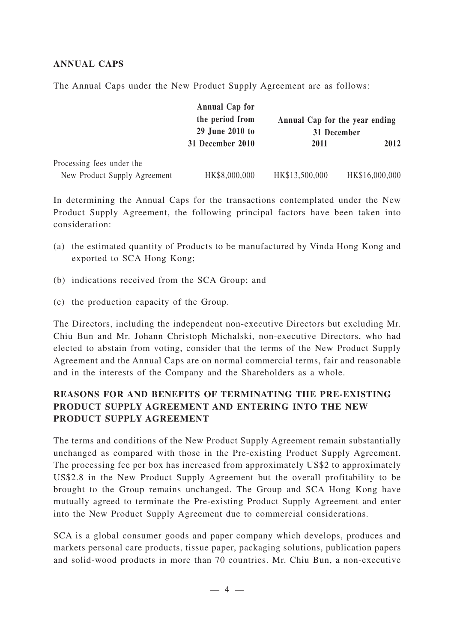#### **ANNUAL CAPS**

The Annual Caps under the New Product Supply Agreement are as follows:

|                              | <b>Annual Cap for</b><br>the period from<br>29 June 2010 to<br>31 December 2010 | Annual Cap for the year ending<br>31 December |                |
|------------------------------|---------------------------------------------------------------------------------|-----------------------------------------------|----------------|
|                              |                                                                                 | 2011                                          | 2012           |
| Processing fees under the    |                                                                                 |                                               |                |
| New Product Supply Agreement | HK\$8,000,000                                                                   | HK\$13,500,000                                | HK\$16,000,000 |

In determining the Annual Caps for the transactions contemplated under the New Product Supply Agreement, the following principal factors have been taken into consideration:

- (a) the estimated quantity of Products to be manufactured by Vinda Hong Kong and exported to SCA Hong Kong;
- (b) indications received from the SCA Group; and
- (c) the production capacity of the Group.

The Directors, including the independent non-executive Directors but excluding Mr. Chiu Bun and Mr. Johann Christoph Michalski, non-executive Directors, who had elected to abstain from voting, consider that the terms of the New Product Supply Agreement and the Annual Caps are on normal commercial terms, fair and reasonable and in the interests of the Company and the Shareholders as a whole.

## **REASONS FOR AND BENEFITS OF TERMINATING THE PRE-EXISTING PRODUCT SUPPLY AGREEMENT AND ENTERING INTO THE NEW PRODUCT SUPPLY AGREEMENT**

The terms and conditions of the New Product Supply Agreement remain substantially unchanged as compared with those in the Pre-existing Product Supply Agreement. The processing fee per box has increased from approximately US\$2 to approximately US\$2.8 in the New Product Supply Agreement but the overall profitability to be brought to the Group remains unchanged. The Group and SCA Hong Kong have mutually agreed to terminate the Pre-existing Product Supply Agreement and enter into the New Product Supply Agreement due to commercial considerations.

SCA is a global consumer goods and paper company which develops, produces and markets personal care products, tissue paper, packaging solutions, publication papers and solid-wood products in more than 70 countries. Mr. Chiu Bun, a non-executive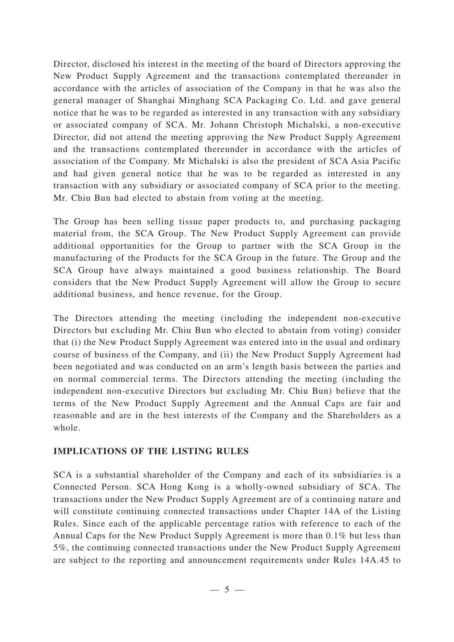Director, disclosed his interest in the meeting of the board of Directors approving the New Product Supply Agreement and the transactions contemplated thereunder in accordance with the articles of association of the Company in that he was also the general manager of Shanghai Minghang SCA Packaging Co. Ltd. and gave general notice that he was to be regarded as interested in any transaction with any subsidiary or associated company of SCA. Mr. Johann Christoph Michalski, a non-executive Director, did not attend the meeting approving the New Product Supply Agreement and the transactions contemplated thereunder in accordance with the articles of association of the Company. Mr Michalski is also the president of SCA Asia Pacific and had given general notice that he was to be regarded as interested in any transaction with any subsidiary or associated company of SCA prior to the meeting. Mr. Chiu Bun had elected to abstain from voting at the meeting.

The Group has been selling tissue paper products to, and purchasing packaging material from, the SCA Group. The New Product Supply Agreement can provide additional opportunities for the Group to partner with the SCA Group in the manufacturing of the Products for the SCA Group in the future. The Group and the SCA Group have always maintained a good business relationship. The Board considers that the New Product Supply Agreement will allow the Group to secure additional business, and hence revenue, for the Group.

The Directors attending the meeting (including the independent non-executive Directors but excluding Mr. Chiu Bun who elected to abstain from voting) consider that (i) the New Product Supply Agreement was entered into in the usual and ordinary course of business of the Company, and (ii) the New Product Supply Agreement had been negotiated and was conducted on an arm's length basis between the parties and on normal commercial terms. The Directors attending the meeting (including the independent non-executive Directors but excluding Mr. Chiu Bun) believe that the terms of the New Product Supply Agreement and the Annual Caps are fair and reasonable and are in the best interests of the Company and the Shareholders as a whole.

#### **IMPLICATIONS OF THE LISTING RULES**

SCA is a substantial shareholder of the Company and each of its subsidiaries is a Connected Person. SCA Hong Kong is a wholly-owned subsidiary of SCA. The transactions under the New Product Supply Agreement are of a continuing nature and will constitute continuing connected transactions under Chapter 14A of the Listing Rules. Since each of the applicable percentage ratios with reference to each of the Annual Caps for the New Product Supply Agreement is more than 0.1% but less than 5%, the continuing connected transactions under the New Product Supply Agreement are subject to the reporting and announcement requirements under Rules 14A.45 to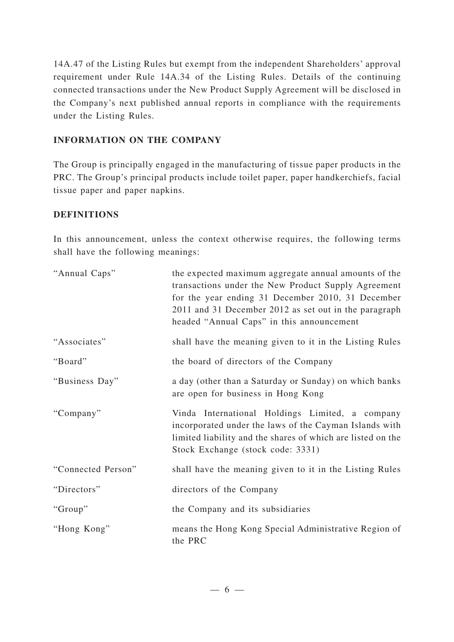14A.47 of the Listing Rules but exempt from the independent Shareholders' approval requirement under Rule 14A.34 of the Listing Rules. Details of the continuing connected transactions under the New Product Supply Agreement will be disclosed in the Company's next published annual reports in compliance with the requirements under the Listing Rules.

## **INFORMATION ON THE COMPANY**

The Group is principally engaged in the manufacturing of tissue paper products in the PRC. The Group's principal products include toilet paper, paper handkerchiefs, facial tissue paper and paper napkins.

#### **DEFINITIONS**

In this announcement, unless the context otherwise requires, the following terms shall have the following meanings:

| "Annual Caps"      | the expected maximum aggregate annual amounts of the<br>transactions under the New Product Supply Agreement<br>for the year ending 31 December 2010, 31 December<br>2011 and 31 December 2012 as set out in the paragraph<br>headed "Annual Caps" in this announcement |
|--------------------|------------------------------------------------------------------------------------------------------------------------------------------------------------------------------------------------------------------------------------------------------------------------|
| "Associates"       | shall have the meaning given to it in the Listing Rules                                                                                                                                                                                                                |
| "Board"            | the board of directors of the Company                                                                                                                                                                                                                                  |
| "Business Day"     | a day (other than a Saturday or Sunday) on which banks<br>are open for business in Hong Kong                                                                                                                                                                           |
| "Company"          | Vinda International Holdings Limited, a company<br>incorporated under the laws of the Cayman Islands with<br>limited liability and the shares of which are listed on the<br>Stock Exchange (stock code: 3331)                                                          |
| "Connected Person" | shall have the meaning given to it in the Listing Rules                                                                                                                                                                                                                |
| "Directors"        | directors of the Company                                                                                                                                                                                                                                               |
| "Group"            | the Company and its subsidiaries                                                                                                                                                                                                                                       |
| "Hong Kong"        | means the Hong Kong Special Administrative Region of<br>the PRC                                                                                                                                                                                                        |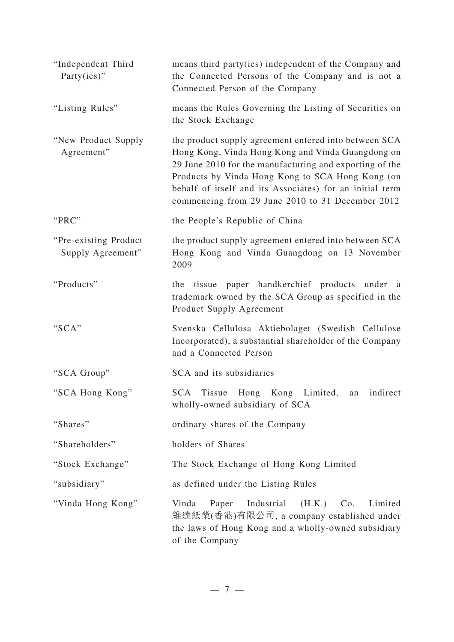| "Independent Third<br>Party(ies)"          | means third party(ies) independent of the Company and<br>the Connected Persons of the Company and is not a<br>Connected Person of the Company                                                                                                                                                                                             |  |
|--------------------------------------------|-------------------------------------------------------------------------------------------------------------------------------------------------------------------------------------------------------------------------------------------------------------------------------------------------------------------------------------------|--|
| "Listing Rules"                            | means the Rules Governing the Listing of Securities on<br>the Stock Exchange                                                                                                                                                                                                                                                              |  |
| "New Product Supply<br>Agreement"          | the product supply agreement entered into between SCA<br>Hong Kong, Vinda Hong Kong and Vinda Guangdong on<br>29 June 2010 for the manufacturing and exporting of the<br>Products by Vinda Hong Kong to SCA Hong Kong (on<br>behalf of itself and its Associates) for an initial term<br>commencing from 29 June 2010 to 31 December 2012 |  |
| "PRC"                                      | the People's Republic of China                                                                                                                                                                                                                                                                                                            |  |
| "Pre-existing Product<br>Supply Agreement" | the product supply agreement entered into between SCA<br>Hong Kong and Vinda Guangdong on 13 November<br>2009                                                                                                                                                                                                                             |  |
| "Products"                                 | the tissue paper handkerchief products under a<br>trademark owned by the SCA Group as specified in the<br>Product Supply Agreement                                                                                                                                                                                                        |  |
| "SCA"                                      | Svenska Cellulosa Aktiebolaget (Swedish Cellulose<br>Incorporated), a substantial shareholder of the Company<br>and a Connected Person                                                                                                                                                                                                    |  |
| "SCA Group"                                | SCA and its subsidiaries                                                                                                                                                                                                                                                                                                                  |  |
| "SCA Hong Kong"                            | SCA<br>Tissue<br>Hong Kong Limited,<br>indirect<br>an<br>wholly-owned subsidiary of SCA                                                                                                                                                                                                                                                   |  |
| "Shares"                                   | ordinary shares of the Company                                                                                                                                                                                                                                                                                                            |  |
| "Shareholders"                             | holders of Shares                                                                                                                                                                                                                                                                                                                         |  |
| "Stock Exchange"                           | The Stock Exchange of Hong Kong Limited                                                                                                                                                                                                                                                                                                   |  |
| "subsidiary"                               | as defined under the Listing Rules                                                                                                                                                                                                                                                                                                        |  |
| "Vinda Hong Kong"                          | Industrial<br>Vinda<br>Limited<br>Paper<br>$(H.K.)$ Co.<br>維達紙業(香港)有限公司, a company established under<br>the laws of Hong Kong and a wholly-owned subsidiary<br>of the Company                                                                                                                                                             |  |